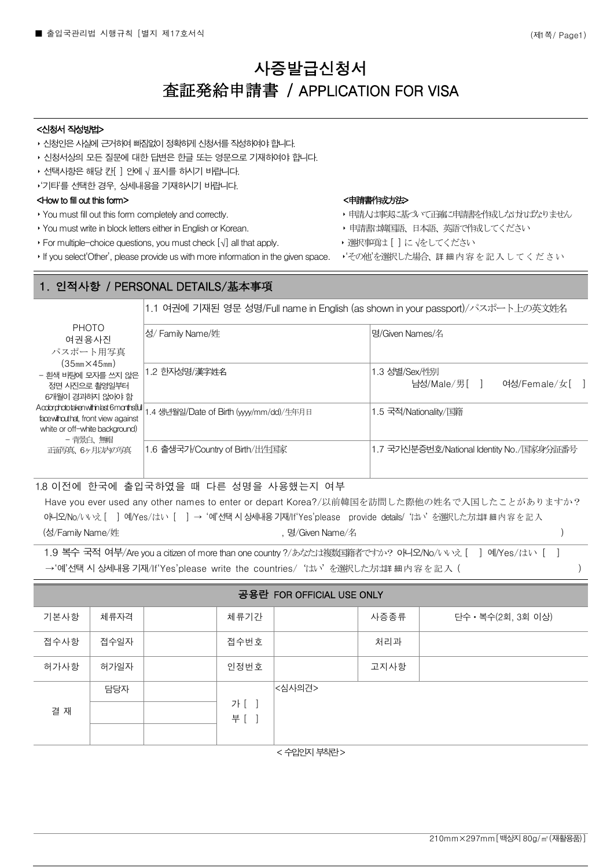# 사증발급신청서 査証発給申請書 / APPLICATION FOR VISA

#### <신청서 작성방법>

- 신청인은 사실에 근거하여 빠짐없이 정확하게 신청서를 작성하여야 합니다.
- ‣ 신청서상의 모든 질문에 대한 답변은 한글 또는 영문으로 기재하여야 합니다.
- ▶ 선택사항은 해당 칸[ ] 안에 √ 표시를 하시기 바랍니다.

‣'기타'를 선택한 경우, 상세내용을 기재하시기 바랍니다.

## <http://www.to.fill out this form> and the set of the set of the set of the set of the set of the set of the set of the set of the set of the set of the set of the set of the set of the set of the set of the set of the se

- 
- 
- For multiple-choice questions, you must check [√] all that apply. → → 選択事項は [ ] に √をしてください
- ‣ If you select'Other', please provide us with more information in the given space. ‣'その他'を選択した場合、詳細内容を記入してください

- ▶ You must fill out this form completely and correctly. < < >
→ 中請人は事実に基づいて正確に申請書を作成しなければなりません
- ▶ You must write in block letters either in English or Korean. → → 中請書は韓国語、日本語、英語で作成してください
	-
	-

## 1. 인적사항 / PERSONAL DETAILS/基本事項

1.1 여권에 기재된 영문 성명/Full name in English (as shown in your passport)/パスポート上の英文姓名

| <b>PHOTO</b><br>여권용사진                                                                                                          | 성/ Family Name/姓                        | 명/Given Names/名                               |
|--------------------------------------------------------------------------------------------------------------------------------|-----------------------------------------|-----------------------------------------------|
| パスポート用写真                                                                                                                       |                                         |                                               |
| $(35mm \times 45mm)$<br>- 흰색 바탕에 모자를 쓰지 않은<br>정면 사진으로 촬영일부터<br>6개월이 경과하지 않아야 함                                                 | 1.2 한자성명/漢字姓名                           | 1.3 성별/Sex/性別<br>여성/Female/女[ ]<br>남성/Male/男[ |
| Acobrichototaken within last 6 months full<br>facewithouthat, front view against<br>white or off-white background)<br>- 背景白、無帽 | 1.4 생년월일/Date of Birth (yyy/mm/dd)/生年月日 | 1.5 국적/Nationality/国籍                         |
| 正面写真 6ヶ月以内の写真                                                                                                                  | 1.6 출생국가/Country of Birth/出生国家          | 1.7 국가신분증번호/National Identity No./国家身分証番号     |

l

#### 1.8 이전에 한국에 출입국하였을 때 다른 성명을 사용했는지 여부

Have you ever used any other names to enter or depart Korea?/以前韓国を訪問した際他の姓名で入国したことがありますか? oH92/No/いいえ「 | 예/Yes/はい「 | → '예'선택시 상세내용기재/If'Yes'please provide details/ 'はい' を選択した方は詳細内容を記入 (성/Family Name/姓 , 영/Given Name/名

1.9 복수 국적 여부/Are you a citizen of more than one country ?/あなたは複数国籍者ですか? 아니오/No/いいえ [ ] 예/Yes/はい [ ] →'예'선택 시 상세내용 기재/If'Yes'please write the countries/ 'はい' を選択した方は詳細内容を記入 (

| 공용란 FOR OFFICIAL USE ONLY |      |  |                |        |      |                    |
|---------------------------|------|--|----------------|--------|------|--------------------|
| 기본사항                      | 체류자격 |  | 체류기간           |        | 사증종류 | 단수 • 복수(2회, 3회 이상) |
| 접수사항                      | 접수일자 |  | 접수번호           |        | 처리과  |                    |
| 허가사항                      | 허가일자 |  | 인정번호           |        | 고지사항 |                    |
|                           | 담당자  |  |                | <심사의견> |      |                    |
| 결 재                       |      |  | 가 [ ]<br>부 [ ] |        |      |                    |
|                           |      |  |                |        |      |                    |

< 수입인지 부착란 >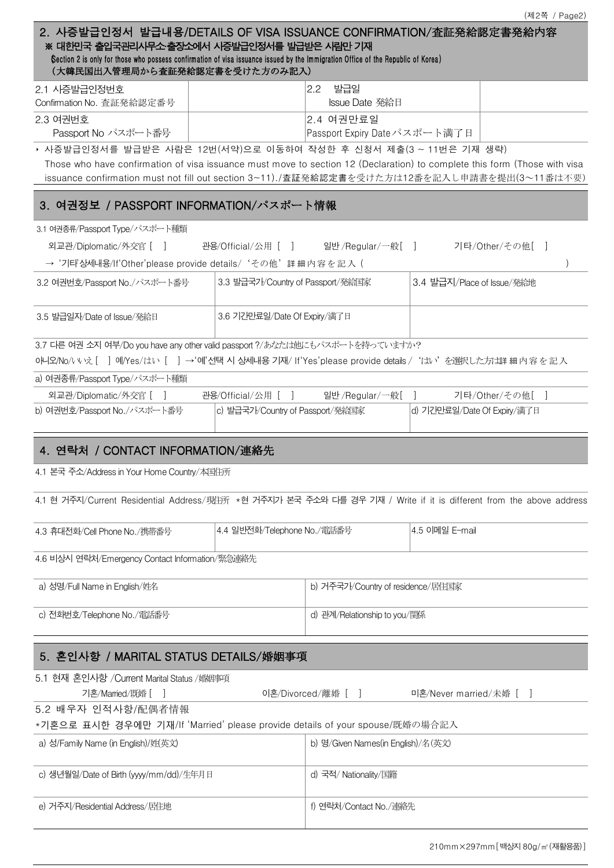|                                                                                                                                                                                                                                                                                      |                                       |                                           |                             | (제2쪽 / Page2)   |
|--------------------------------------------------------------------------------------------------------------------------------------------------------------------------------------------------------------------------------------------------------------------------------------|---------------------------------------|-------------------------------------------|-----------------------------|-----------------|
| 2. 사증발급인정서 발급내용/DETAILS OF VISA ISSUANCE CONFIRMATION/査証発給認定書発給内容<br>※ 대한민국 출입국관리사무소·출장소에서 사증발급인정서를 발급받은 사람만 기재<br>Gection 2 is only for those who possess confirmation of visa issuance issued by the Immigration Office of the Republic of Korea)<br>(大韓民国出入管理局から査証発給認定書を受けた方のみ記入) |                                       |                                           |                             |                 |
| 2.1 시증발급인정번호                                                                                                                                                                                                                                                                         |                                       | 발급일<br>$2.2^{\circ}$                      |                             |                 |
| Confirmation No. 查証発給認定番号                                                                                                                                                                                                                                                            |                                       | Issue Date 発給日                            |                             |                 |
| 2.3 여권번호<br>Passport No パスポート番号                                                                                                                                                                                                                                                      |                                       | 2.4 여권만료일<br>Passport Expiry Dateパスポート満了日 |                             |                 |
| ▶ 사증발급인정서를 발급받은 사람은 12번(서약)으로 이동하여 작성한 후 신청서 제출(3 ~ 11번은 기재 생략)                                                                                                                                                                                                                      |                                       |                                           |                             |                 |
| Those who have confirmation of visa issuance must move to section 12 (Declaration) to complete this form (Those with visa<br>issuance confirmation must not fill out section 3~11)./査証発給認定書を受けた方は12番を記入し申請書を提出(3~11番は不要)                                                             |                                       |                                           |                             |                 |
| 3. 여권정보 / PASSPORT INFORMATION/パスポート情報                                                                                                                                                                                                                                               |                                       |                                           |                             |                 |
| 3.1 여권종류/Passport Type/パスポート種類                                                                                                                                                                                                                                                       |                                       |                                           |                             |                 |
| 외교관/Diplomatic/外交官 [ ]                                                                                                                                                                                                                                                               | 관용/Official/公用 [ ] 일반 /Regular/一般 [ ] |                                           |                             | 기타/Other/その他[ ] |
| → '기타상세내용/If'Other'please provide details/ 'その他' 詳細内容を記入 (                                                                                                                                                                                                                           |                                       |                                           |                             |                 |
| 3.2 여권번호/Passport No./パスポート番号                                                                                                                                                                                                                                                        | 3.3 발급국가/Country of Passport/発給国家     |                                           | 3.4 발급지/Place of Issue/発給地  |                 |
| 3.5 발급일자/Date of Issue/発給日                                                                                                                                                                                                                                                           | 3.6 기간만료일/Date Of Expiry/満了日          |                                           |                             |                 |
| 3.7 다른 여권 소지 여부/Do you have any other valid passport ?/あなたは他にもパスポートを持っていますか?<br>아니오/No/いいえ [ ] 예/Yes/はい [ ] →'예'선택 시 상세내용 기재/ If'Yes'please provide details / 'はい'を選択した方は詳 細 内 容 を 記 入                                                                                               |                                       |                                           |                             |                 |
| a) 여권종류/Passport Type/パスポート種類                                                                                                                                                                                                                                                        |                                       |                                           |                             |                 |
| 외교관/Diplomatic/外交官 [<br>$\blacksquare$                                                                                                                                                                                                                                               | 관용/Official/公用 [ ]                    | 일반 /Regular/一般[ ]                         |                             | 기타/Other/その他[   |
| b) 여권번호/Passport No./パスポート番号                                                                                                                                                                                                                                                         | c) 발급국가/Country of Passport/発給国家      |                                           | d) 기간만료일/Date Of Expiry/満了日 |                 |
| 4. 연락처 / CONTACT INFORMATION/連絡先                                                                                                                                                                                                                                                     |                                       |                                           |                             |                 |
| 4.1 본국 주소/Address in Your Home Country/本国住所                                                                                                                                                                                                                                          |                                       |                                           |                             |                 |
| 4.1 현 거주지/Current Residential Address/現住所 *현 거주지가 본국 주소와 다를 경우 기재 / Write if it is different from the above address                                                                                                                                                                  |                                       |                                           |                             |                 |
| 4.3 휴대전화/Cell Phone No./携帯番号                                                                                                                                                                                                                                                         | 4.4 일반전화/Telephone No./電話番号           |                                           | 4.5 이메일 E-mail              |                 |
| 4.6 비상시 연락처/Emergency Contact Information/緊急連絡先                                                                                                                                                                                                                                      |                                       |                                           |                             |                 |
| a) 성명/Full Name in English/姓名                                                                                                                                                                                                                                                        |                                       | b) 거주국가/Country of residence/居住国家         |                             |                 |
| c) 전화번호/Telephone No./電話番号                                                                                                                                                                                                                                                           |                                       | d) 관계/Relationship to you/関係              |                             |                 |
| 5. 혼인사항 / MARITAL STATUS DETAILS/婚姻事項                                                                                                                                                                                                                                                |                                       |                                           |                             |                 |
| 5.1 현재 혼인사항 /Current Marital Status /婚姻事項                                                                                                                                                                                                                                            |                                       |                                           |                             |                 |
| 기혼/Married/既婚 [                                                                                                                                                                                                                                                                      |                                       | 이혼/Divorced/離婚 [ ]                        | 미혼/Never married/未婚 [ ]     |                 |
| 5.2 배우자 인적사항/配偶者情報<br>*기혼으로 표시한 경우에만 기재/If 'Married' please provide details of your spouse/既婚の場合記入                                                                                                                                                                                   |                                       |                                           |                             |                 |
| a) 성/Family Name (in English)/姓(英文)                                                                                                                                                                                                                                                  |                                       | b) 명/Given Names(in English)/名(英文)        |                             |                 |
| c) 생년월일/Date of Birth (yyyy/mm/dd)/生年月日<br>d) 국적/ Nationality/国籍                                                                                                                                                                                                                     |                                       |                                           |                             |                 |
| e) 거주지/Residential Address/居住地                                                                                                                                                                                                                                                       |                                       | f) 연락처/Contact No./連絡先                    |                             |                 |
|                                                                                                                                                                                                                                                                                      |                                       |                                           |                             |                 |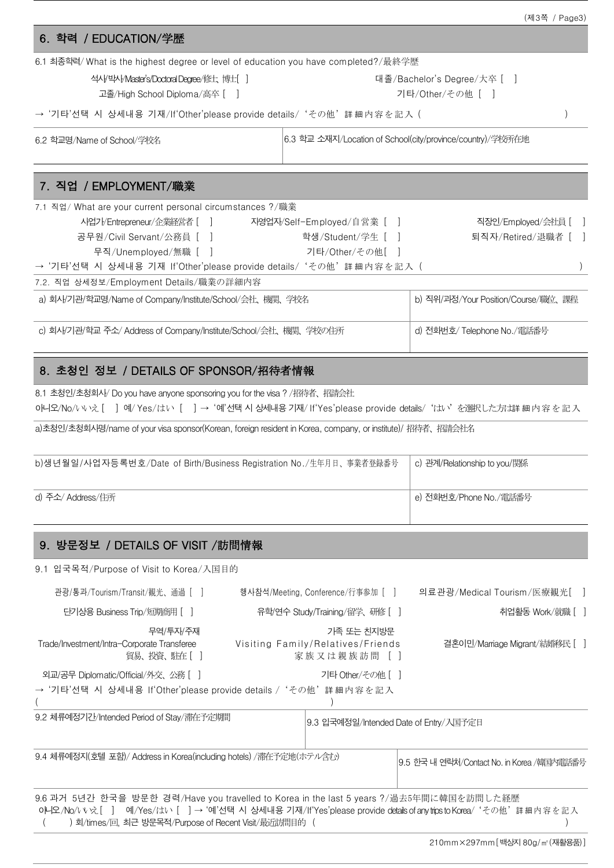|                                                                                    |                                                            | (세히 / Pageo) |
|------------------------------------------------------------------------------------|------------------------------------------------------------|--------------|
| 6. 학력 / EDUCATION/学歴                                                               |                                                            |              |
| 6.1 최종학력/What is the highest degree or level of education you have completed?/最終学歷 |                                                            |              |
| 석사, 박사 Master's/Doctoral Degree/修士、博士[]<br>고졸/High School Diploma/高卒 [ ]           | 대졸/Bachelor's Degree/大卒 [ ]<br>기타/Other/その他「               |              |
| → '기타'선택 시 상세내용 기재/If'Other'please provide details/'その他'詳細内容を記入 (                  |                                                            |              |
| 6.2 학교명/Name of School/学校名                                                         | 6.3 학교 소재지/Location of School(city/province/country)/学校所在地 |              |

## 7. 직업 / EMPLOYMENT/職業

| 7.1 직업/ What are your current personal circumstances ?/職業                                      |                                                                   |                             |  |  |  |  |
|------------------------------------------------------------------------------------------------|-------------------------------------------------------------------|-----------------------------|--|--|--|--|
| 사업가/Entrepreneur/企業経営者 [ ]                                                                     | 자영업자/Self-Employed/自営業 [ ]                                        | 직장인/Employed/会社員 [ ]        |  |  |  |  |
| 공무원/Civil Servant/公務員 [ ]                                                                      | 학생/Student/学生 [ ]                                                 | 퇴직자/Retired/退職者 [ ]         |  |  |  |  |
| 무직/Unemployed/無職 [ ]                                                                           | 기타/Other/その他[ ]                                                   |                             |  |  |  |  |
|                                                                                                | → '기타'선택 시 상세내용 기재 If'Other'please provide details/'その他'詳細内容を記入 ( |                             |  |  |  |  |
| 7.2. 직업 상세정보/Employment Details/職業の詳細内容                                                        |                                                                   |                             |  |  |  |  |
| a) 회사/기관/학교명/Name of Company/Institute/School/会社、機関、学校名<br>b) 직위/과정/Your Position/Course/職位、課程 |                                                                   |                             |  |  |  |  |
| c) 회사/기관/학교 주소/ Address of Company/Institute/School/会社、機関、学校の住所                                |                                                                   | d) 전화번호/ Telephone No./電話番号 |  |  |  |  |

## 8. 초청인 정보 / DETAILS OF SPONSOR/招待者情報

8.1 초청인/초청회사/ Do you have anyone sponsoring you for the visa ? /招待者、招請会社 아니오/No/いいえ [ ] 예/ Yes/はい [ ]→ '예'선택 시 상세내용 기재/ If'Yes'please provide details/'はい'を選択した方は詳 細内容を記入

a)초청인/초청회사명/name of your visa sponsor(Korean, foreign resident in Korea, company, or institute)/ 招待者、招請会社名

| b)생년월일/사업자등록번호/Date of Birth/Business Registration No./生年月日、事業者登録番号 | │ c) 관계/Relationship to you/関係 |
|---------------------------------------------------------------------|--------------------------------|
| d) 주소/ Address/住所                                                   | e) 전화번호/Phone No./電話番号         |

## 9. 방문정보 / DETAILS OF VISIT /訪問情報

9.1 입국목적/Purpose of Visit to Korea/入国目的

| 관광/통과/Tourism/Transit/観光、通過 [ ㅣ                                                                                                                                                                                                                                |                                | 행사참석/Meeting, Conference/行事参加 [ ]                               | 의료관광/Medical Tourism/医療観光[ ]               |
|----------------------------------------------------------------------------------------------------------------------------------------------------------------------------------------------------------------------------------------------------------------|--------------------------------|-----------------------------------------------------------------|--------------------------------------------|
| 단기상용 Business Trip/短期商用 [ ]                                                                                                                                                                                                                                    | 유학/연수 Study/Training/留学、硏修 [ ] |                                                                 | 취업활동 Work/就職 [ ]                           |
| 무역/투자/주재<br>Trade/Investment/Intra-Corporate Transferee<br>貿易、投資、駐在[]                                                                                                                                                                                          |                                | 가족 또는 친지방문<br>Visiting Family/Relatives/Friends<br>家族又は親族訪問 [ ] | 결혼이민/Marriage Migrant/結婚移民 [ ]             |
| 외교/공무 Diplomatic/Official/外交、公務 [ ]                                                                                                                                                                                                                            |                                | 기타 Other/ その他 [ ]                                               |                                            |
| → '기타'선택 시 상세내용 If'Other'please provide details / 'その他' 詳細内容を記入                                                                                                                                                                                                |                                |                                                                 |                                            |
| 9.2 체류예정기간/Intended Period of Stay/滯在予定期間                                                                                                                                                                                                                      |                                | 9.3 입국예정일/Intended Date of Entry/入国予定日                          |                                            |
| 9.4 체류예정지(호텔 포함)/ Address in Korea(including hotels) /滯在予定地(ホテル含む)                                                                                                                                                                                             |                                |                                                                 | 9.5 한국 내 연락처/Contact No. in Korea /韓国内電話番号 |
| 9.6 과거 5년간 한국을 방문한 경력/Have you travelled to Korea in the last 5 years ?/過去5年間に韓国を訪問した経歴<br>이니오/No/いいえ[ ] 예/Yes/はい [ ] → '예'선택 시 상세내용 기재/If'Yes'please provide details of anytrips to Korea/'その他'詳細内容を記入<br>회/times/回, 최근 방문목적/Purpose of Recent Visit/最近訪問目的 ( |                                |                                                                 |                                            |
|                                                                                                                                                                                                                                                                |                                |                                                                 | 210mm×297mm [백상지 80g/㎡(재활용품)]              |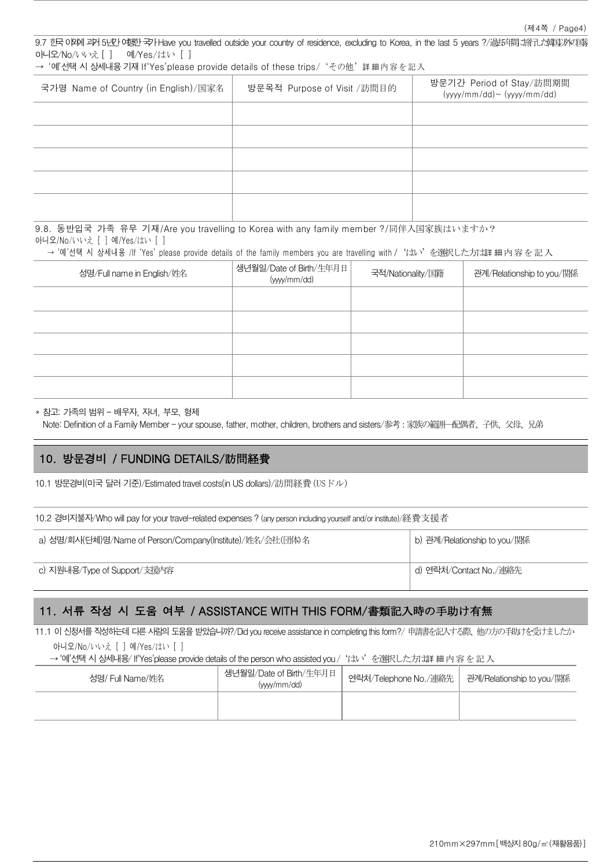9.7 한국 O PPM 과거 5년간 O 행한 국가 Have you travelled outside your country of residence, excluding to Korea, in the last 5 years ?/過去年間、旅行した韓国以外の国家 아니오/No/いいえ [ ] 예/Yes/はい [ ]

→ '예'선택 시 상세내용 기재 If'Yes'please provide details of these trips/ 'その他' 詳 細内 容 を記 入

| 국가명 Name of Country (in English)/国家名 | 방문목적 Purpose of Visit /訪問目的 | 방문기간 Period of Stay/訪問期間<br>$(yyyy/mm / dd) \sim (yyyy/mm / dd)$ |
|--------------------------------------|-----------------------------|------------------------------------------------------------------|
|                                      |                             |                                                                  |
|                                      |                             |                                                                  |
|                                      |                             |                                                                  |
|                                      |                             |                                                                  |
|                                      |                             |                                                                  |

9.8. 동반입국 가족 유무 기재/Are you travelling to Korea with any family member ?/同伴入国家族はいますか? 아니오/No/いいえ [ ] 예/Yes/はい [ ]

→ '예'선택 시 상세내용 /If 'Yes' please provide details of the family members you are travelling with /'はい'を選択した方は詳細内容を記入

| 성명/Full name in English/姓名 | 생년월일/Date of Birth/生年月日<br>(yyy/mm/dd) | 국적/Nationality/国籍 | 관계/Relationship to you/関係 |
|----------------------------|----------------------------------------|-------------------|---------------------------|
|                            |                                        |                   |                           |
|                            |                                        |                   |                           |
|                            |                                        |                   |                           |
|                            |                                        |                   |                           |
|                            |                                        |                   |                           |

\* 참고: 가족의 범위 – 배우자, 자녀, 부모, 형제

Note: Definition of a Family Member - your spouse, father, mother, children, brothers and sisters/参考:家族の範囲―配偶者、子供、父母、兄弟

## 10. 방문경비 / FUNDING DETAILS/訪問経費

10.1 방문경비(미국 달러 기준)/Estimated travel costs(in US dollars)/訪問経費(USドル)

| 10.2 경비지불자/Who will pay for your travel-related expenses ? (any person including yourself and/or institute)/経費支援者 |
|-------------------------------------------------------------------------------------------------------------------|
|-------------------------------------------------------------------------------------------------------------------|

| a) 성명/회사(단체)명/Name of Person/Company(Institute)/姓名/会社(団体)名 | b) 관계/Relationship to you/関係 |  |
|------------------------------------------------------------|------------------------------|--|
| c) 지원내용/Type of Support/支援内容                               | ' d) 연락처/Contact No./連絡先     |  |

## 11. 서류 작성 시 도움 여부 / ASSISTANCE WITH THIS FORM/書類記入時の手助け有無

11.1 이 신청서를 작성하는데 다른 사람의 도움을 받았습니까?/Did you receive assistance in completing this form?/ 申請書を記入する際、他の方の手助けを受けましたか 아니오/No/いいえ [ ] 예/Yes/はい [ ]

→ '예'선택시상세내용/ If'Yes'please provide details of the person who assisted you / 'はい'を選択した方は詳細内容を記入

| 성명/ Full Name/姓名 | 생년월일/Date of Birth/生年月日<br>(ww/mm/dd) | 연락처/Telephone No./連絡先 | 관계/Relationship to you/関係 |
|------------------|---------------------------------------|-----------------------|---------------------------|
|                  |                                       |                       |                           |